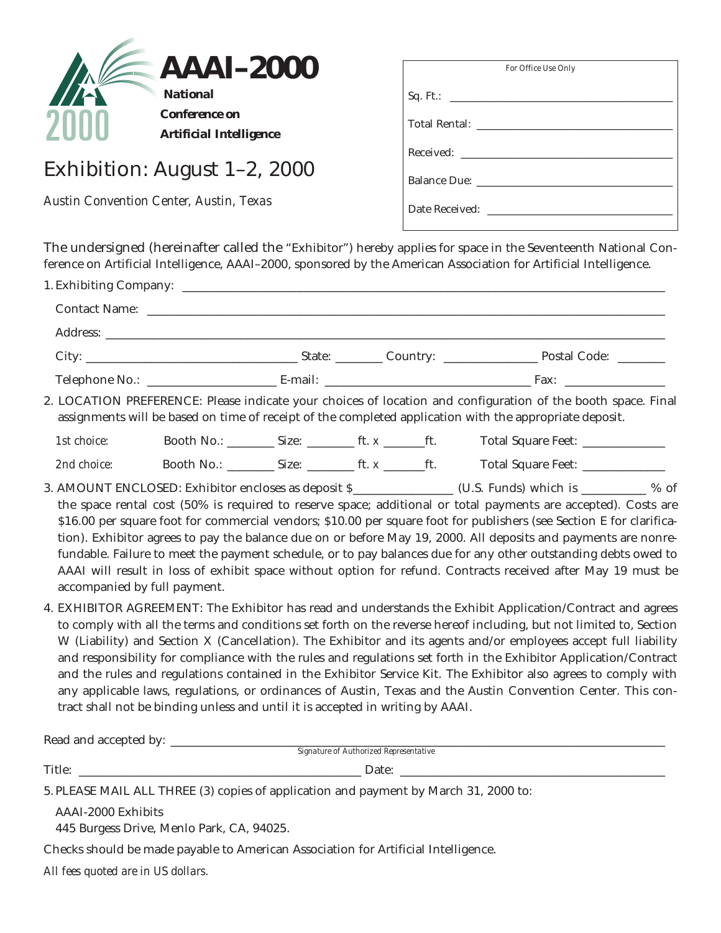

## Exhibition: August 1–2, 2000

*Austin Convention Center, Austin, Texas*

| For Office Use Only |  |  |  |  |
|---------------------|--|--|--|--|
|                     |  |  |  |  |
|                     |  |  |  |  |
|                     |  |  |  |  |
|                     |  |  |  |  |
| Date Received:      |  |  |  |  |

The undersigned (hereinafter called the "Exhibitor") hereby applies for space in the Seventeenth National Conference on Artificial Intelligence, AAAI–2000, sponsored by the American Association for Artificial Intelligence.

|                              | 1. Exhibiting Company:                                                               |  |  |                                                                                                                                                                                                                                                                                                                                                                                                                                                                                                                                                                                                                                                                                                           |  |
|------------------------------|--------------------------------------------------------------------------------------|--|--|-----------------------------------------------------------------------------------------------------------------------------------------------------------------------------------------------------------------------------------------------------------------------------------------------------------------------------------------------------------------------------------------------------------------------------------------------------------------------------------------------------------------------------------------------------------------------------------------------------------------------------------------------------------------------------------------------------------|--|
|                              |                                                                                      |  |  |                                                                                                                                                                                                                                                                                                                                                                                                                                                                                                                                                                                                                                                                                                           |  |
|                              |                                                                                      |  |  |                                                                                                                                                                                                                                                                                                                                                                                                                                                                                                                                                                                                                                                                                                           |  |
|                              |                                                                                      |  |  |                                                                                                                                                                                                                                                                                                                                                                                                                                                                                                                                                                                                                                                                                                           |  |
|                              |                                                                                      |  |  |                                                                                                                                                                                                                                                                                                                                                                                                                                                                                                                                                                                                                                                                                                           |  |
|                              |                                                                                      |  |  | 2. LOCATION PREFERENCE: Please indicate your choices of location and configuration of the booth space. Final<br>assignments will be based on time of receipt of the completed application with the appropriate deposit.                                                                                                                                                                                                                                                                                                                                                                                                                                                                                   |  |
| 1st choice:                  |                                                                                      |  |  |                                                                                                                                                                                                                                                                                                                                                                                                                                                                                                                                                                                                                                                                                                           |  |
| 2nd choice:                  |                                                                                      |  |  |                                                                                                                                                                                                                                                                                                                                                                                                                                                                                                                                                                                                                                                                                                           |  |
| accompanied by full payment. |                                                                                      |  |  | \$16.00 per square foot for commercial vendors; \$10.00 per square foot for publishers (see Section E for clarifica-<br>tion). Exhibitor agrees to pay the balance due on or before May 19, 2000. All deposits and payments are nonre-<br>fundable. Failure to meet the payment schedule, or to pay balances due for any other outstanding debts owed to<br>AAAI will result in loss of exhibit space without option for refund. Contracts received after May 19 must be                                                                                                                                                                                                                                  |  |
|                              | tract shall not be binding unless and until it is accepted in writing by AAAI.       |  |  | 4. EXHIBITOR AGREEMENT: The Exhibitor has read and understands the Exhibit Application/Contract and agrees<br>to comply with all the terms and conditions set forth on the reverse hereof including, but not limited to, Section<br>W (Liability) and Section X (Cancellation). The Exhibitor and its agents and/or employees accept full liability<br>and responsibility for compliance with the rules and regulations set forth in the Exhibitor Application/Contract<br>and the rules and regulations contained in the Exhibitor Service Kit. The Exhibitor also agrees to comply with<br>any applicable laws, regulations, or ordinances of Austin, Texas and the Austin Convention Center. This con- |  |
|                              |                                                                                      |  |  |                                                                                                                                                                                                                                                                                                                                                                                                                                                                                                                                                                                                                                                                                                           |  |
|                              |                                                                                      |  |  |                                                                                                                                                                                                                                                                                                                                                                                                                                                                                                                                                                                                                                                                                                           |  |
|                              | 5. PLEASE MAIL ALL THREE (3) copies of application and payment by March 31, 2000 to: |  |  |                                                                                                                                                                                                                                                                                                                                                                                                                                                                                                                                                                                                                                                                                                           |  |

AAAI-2000 Exhibits

445 Burgess Drive, Menlo Park, CA, 94025.

Checks should be made payable to American Association for Artificial Intelligence.

*All fees quoted are in US dollars.*